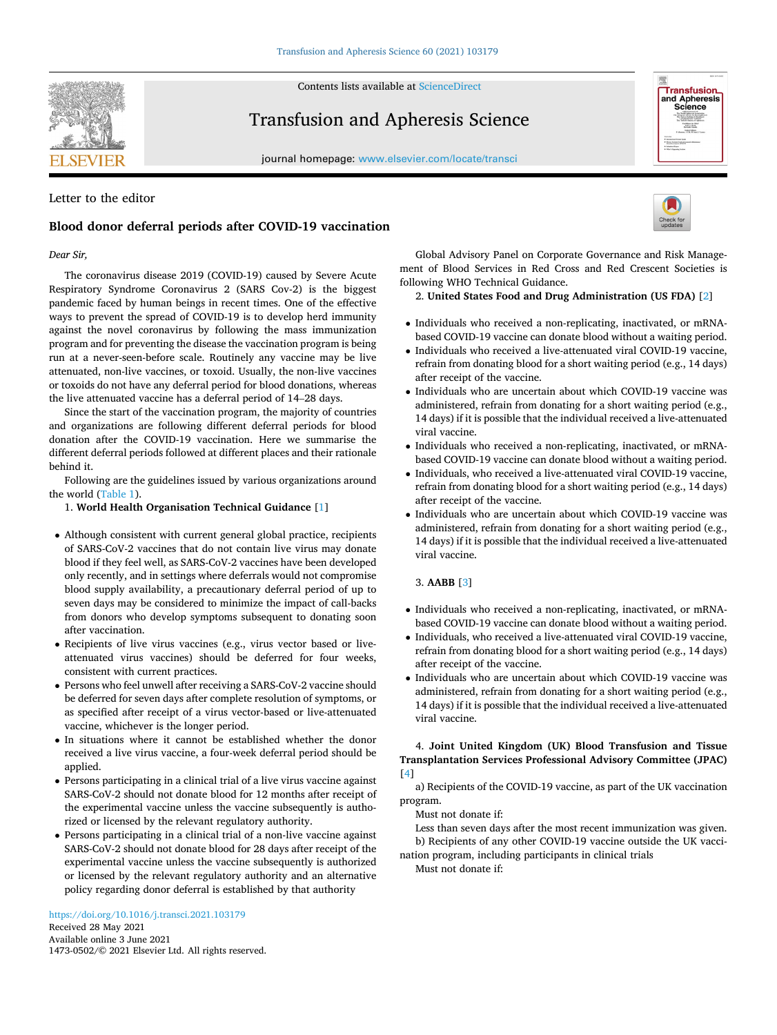**SEVIER** 

Contents lists available at [ScienceDirect](www.sciencedirect.com/science/journal/14730502)

# Transfusion and Apheresis Science

journal homepage: [www.elsevier.com/locate/transci](https://www.elsevier.com/locate/transci) 

# Letter to the editor

# **Blood donor deferral periods after COVID-19 vaccination**

# *Dear Sir,*

The coronavirus disease 2019 (COVID-19) caused by Severe Acute Respiratory Syndrome Coronavirus 2 (SARS Cov-2) is the biggest pandemic faced by human beings in recent times. One of the effective ways to prevent the spread of COVID-19 is to develop herd immunity against the novel coronavirus by following the mass immunization program and for preventing the disease the vaccination program is being run at a never-seen-before scale. Routinely any vaccine may be live attenuated, non-live vaccines, or toxoid. Usually, the non-live vaccines or toxoids do not have any deferral period for blood donations, whereas the live attenuated vaccine has a deferral period of 14–28 days.

Since the start of the vaccination program, the majority of countries and organizations are following different deferral periods for blood donation after the COVID-19 vaccination. Here we summarise the different deferral periods followed at different places and their rationale behind it.

Following are the guidelines issued by various organizations around the world [\(Table 1\)](#page-1-0).

## 1. **World Health Organisation Technical Guidance** [\[1\]](#page-1-0)

- Although consistent with current general global practice, recipients of SARS-CoV-2 vaccines that do not contain live virus may donate blood if they feel well, as SARS-CoV-2 vaccines have been developed only recently, and in settings where deferrals would not compromise blood supply availability, a precautionary deferral period of up to seven days may be considered to minimize the impact of call-backs from donors who develop symptoms subsequent to donating soon after vaccination.
- Recipients of live virus vaccines (e.g., virus vector based or liveattenuated virus vaccines) should be deferred for four weeks, consistent with current practices.
- Persons who feel unwell after receiving a SARS-CoV-2 vaccine should be deferred for seven days after complete resolution of symptoms, or as specified after receipt of a virus vector-based or live-attenuated vaccine, whichever is the longer period.
- In situations where it cannot be established whether the donor received a live virus vaccine, a four-week deferral period should be applied.
- Persons participating in a clinical trial of a live virus vaccine against SARS-CoV-2 should not donate blood for 12 months after receipt of the experimental vaccine unless the vaccine subsequently is authorized or licensed by the relevant regulatory authority.
- Persons participating in a clinical trial of a non-live vaccine against SARS-CoV-2 should not donate blood for 28 days after receipt of the experimental vaccine unless the vaccine subsequently is authorized or licensed by the relevant regulatory authority and an alternative policy regarding donor deferral is established by that authority



Global Advisory Panel on Corporate Governance and Risk Management of Blood Services in Red Cross and Red Crescent Societies is following WHO Technical Guidance.

## 2. **United States Food and Drug Administration (US FDA)** [\[2\]](#page-1-0)

- Individuals who received a non-replicating, inactivated, or mRNAbased COVID-19 vaccine can donate blood without a waiting period.
- Individuals who received a live-attenuated viral COVID-19 vaccine, refrain from donating blood for a short waiting period (e.g., 14 days) after receipt of the vaccine.
- Individuals who are uncertain about which COVID-19 vaccine was administered, refrain from donating for a short waiting period (e.g., 14 days) if it is possible that the individual received a live-attenuated viral vaccine.
- Individuals who received a non-replicating, inactivated, or mRNAbased COVID-19 vaccine can donate blood without a waiting period.
- Individuals, who received a live-attenuated viral COVID-19 vaccine, refrain from donating blood for a short waiting period (e.g., 14 days) after receipt of the vaccine.
- Individuals who are uncertain about which COVID-19 vaccine was administered, refrain from donating for a short waiting period (e.g., 14 days) if it is possible that the individual received a live-attenuated viral vaccine.

# 3. **AABB** [[3](#page-1-0)]

- Individuals who received a non-replicating, inactivated, or mRNAbased COVID-19 vaccine can donate blood without a waiting period.
- Individuals, who received a live-attenuated viral COVID-19 vaccine, refrain from donating blood for a short waiting period (e.g., 14 days) after receipt of the vaccine.
- Individuals who are uncertain about which COVID-19 vaccine was administered, refrain from donating for a short waiting period (e.g., 14 days) if it is possible that the individual received a live-attenuated viral vaccine.

# 4. **Joint United Kingdom (UK) Blood Transfusion and Tissue Transplantation Services Professional Advisory Committee (JPAC)**  [[4](#page-1-0)]

a) Recipients of the COVID-19 vaccine, as part of the UK vaccination program.

Must not donate if:

Less than seven days after the most recent immunization was given. b) Recipients of any other COVID-19 vaccine outside the UK vaccination program, including participants in clinical trials

Must not donate if:



Transfusion and Apheresis<br>Science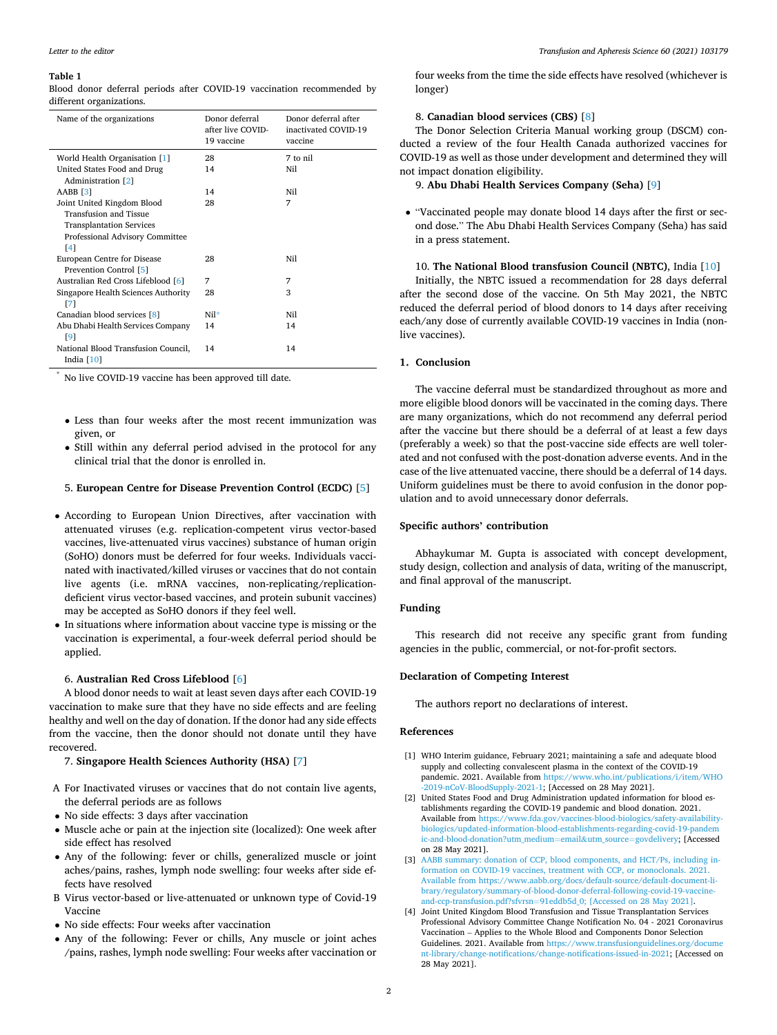#### <span id="page-1-0"></span>**Table 1**

Blood donor deferral periods after COVID-19 vaccination recommended by different organizations.

| Name of the organizations           | Donor deferral<br>after live COVID-<br>19 vaccine | Donor deferral after<br>inactivated COVID-19<br>vaccine |
|-------------------------------------|---------------------------------------------------|---------------------------------------------------------|
| World Health Organisation [1]       | 28                                                | 7 to nil                                                |
| United States Food and Drug         | 14                                                | Nil                                                     |
| Administration [2]                  |                                                   |                                                         |
| AABB [3]                            | 14                                                | Nil                                                     |
| Joint United Kingdom Blood          | 28                                                | 7                                                       |
| Transfusion and Tissue              |                                                   |                                                         |
| <b>Transplantation Services</b>     |                                                   |                                                         |
| Professional Advisory Committee     |                                                   |                                                         |
| [4]                                 |                                                   |                                                         |
| European Centre for Disease         | 28                                                | Nil                                                     |
| Prevention Control [5]              |                                                   |                                                         |
| Australian Red Cross Lifeblood [6]  | 7                                                 | 7                                                       |
| Singapore Health Sciences Authority | 28                                                | 3                                                       |
| [7]                                 |                                                   |                                                         |
| Canadian blood services [8]         | $Ni1*$                                            | Ni1                                                     |
| Abu Dhabi Health Services Company   | 14                                                | 14                                                      |
| [9]                                 |                                                   |                                                         |
| National Blood Transfusion Council, | 14                                                | 14                                                      |
| India $[10]$                        |                                                   |                                                         |

\* No live COVID-19 vaccine has been approved till date.

- Less than four weeks after the most recent immunization was given, or
- Still within any deferral period advised in the protocol for any clinical trial that the donor is enrolled in.

#### 5. **European Centre for Disease Prevention Control (ECDC)** [\[5\]](#page-2-0)

- According to European Union Directives, after vaccination with attenuated viruses (e.g. replication-competent virus vector-based vaccines, live-attenuated virus vaccines) substance of human origin (SoHO) donors must be deferred for four weeks. Individuals vaccinated with inactivated/killed viruses or vaccines that do not contain live agents (i.e. mRNA vaccines, non-replicating/replicationdeficient virus vector-based vaccines, and protein subunit vaccines) may be accepted as SoHO donors if they feel well.
- In situations where information about vaccine type is missing or the vaccination is experimental, a four-week deferral period should be applied.

## 6. **Australian Red Cross Lifeblood** [[6](#page-2-0)]

A blood donor needs to wait at least seven days after each COVID-19 vaccination to make sure that they have no side effects and are feeling healthy and well on the day of donation. If the donor had any side effects from the vaccine, then the donor should not donate until they have recovered.

# 7. **Singapore Health Sciences Authority (HSA)** [[7](#page-2-0)]

- A For Inactivated viruses or vaccines that do not contain live agents, the deferral periods are as follows
- No side effects: 3 days after vaccination
- Muscle ache or pain at the injection site (localized): One week after side effect has resolved
- Any of the following: fever or chills, generalized muscle or joint aches/pains, rashes, lymph node swelling: four weeks after side effects have resolved
- B Virus vector-based or live-attenuated or unknown type of Covid-19 Vaccine
- No side effects: Four weeks after vaccination
- Any of the following: Fever or chills, Any muscle or joint aches /pains, rashes, lymph node swelling: Four weeks after vaccination or

four weeks from the time the side effects have resolved (whichever is longer)

## 8. **Canadian blood services (CBS)** [[8](#page-2-0)]

The Donor Selection Criteria Manual working group (DSCM) conducted a review of the four Health Canada authorized vaccines for COVID-19 as well as those under development and determined they will not impact donation eligibility.

9. **Abu Dhabi Health Services Company (Seha)** [\[9\]](#page-2-0)

• "Vaccinated people may donate blood 14 days after the first or second dose." The Abu Dhabi Health Services Company (Seha) has said in a press statement.

10. **The National Blood transfusion Council (NBTC)**, India [\[10](#page-2-0)] Initially, the NBTC issued a recommendation for 28 days deferral after the second dose of the vaccine. On 5th May 2021, the NBTC reduced the deferral period of blood donors to 14 days after receiving each/any dose of currently available COVID-19 vaccines in India (nonlive vaccines).

## **1. Conclusion**

The vaccine deferral must be standardized throughout as more and more eligible blood donors will be vaccinated in the coming days. There are many organizations, which do not recommend any deferral period after the vaccine but there should be a deferral of at least a few days (preferably a week) so that the post-vaccine side effects are well tolerated and not confused with the post-donation adverse events. And in the case of the live attenuated vaccine, there should be a deferral of 14 days. Uniform guidelines must be there to avoid confusion in the donor population and to avoid unnecessary donor deferrals.

## **Specific authors' contribution**

Abhaykumar M. Gupta is associated with concept development, study design, collection and analysis of data, writing of the manuscript, and final approval of the manuscript.

# **Funding**

This research did not receive any specific grant from funding agencies in the public, commercial, or not-for-profit sectors.

## **Declaration of Competing Interest**

The authors report no declarations of interest.

## **References**

- [1] WHO Interim guidance, February 2021; maintaining a safe and adequate blood supply and collecting convalescent plasma in the context of the COVID-19 pandemic. 2021. Available from [https://www.who.int/publications/i/item/WHO](https://www.who.int/publications/i/item/WHO-2019-nCoV-BloodSupply-2021-1) [-2019-nCoV-BloodSupply-2021-1](https://www.who.int/publications/i/item/WHO-2019-nCoV-BloodSupply-2021-1); [Accessed on 28 May 2021].
- [2] United States Food and Drug Administration updated information for blood establishments regarding the COVID-19 pandemic and blood donation. 2021. Available from [https://www.fda.gov/vaccines-blood-biologics/safety-availability](https://www.fda.gov/vaccines-blood-biologics/safety-availability-biologics/updated-information-blood-establishments-regarding-covid-19-pandemic-and-blood-donation?utm_medium=email%26utm_source=govdelivery)[biologics/updated-information-blood-establishments-regarding-covid-19-pandem](https://www.fda.gov/vaccines-blood-biologics/safety-availability-biologics/updated-information-blood-establishments-regarding-covid-19-pandemic-and-blood-donation?utm_medium=email%26utm_source=govdelivery)  [ic-and-blood-donation?utm\\_medium](https://www.fda.gov/vaccines-blood-biologics/safety-availability-biologics/updated-information-blood-establishments-regarding-covid-19-pandemic-and-blood-donation?utm_medium=email%26utm_source=govdelivery)=email&utm\_source=govdelivery; [Accessed on 28 May 2021].
- [3] [AABB summary: donation of CCP, blood components, and HCT/Ps, including in](http://refhub.elsevier.com/S1473-0502(21)00145-2/sbref0015)[formation on COVID-19 vaccines, treatment with CCP, or monoclonals. 2021.](http://refhub.elsevier.com/S1473-0502(21)00145-2/sbref0015)  [Available from https://www.aabb.org/docs/default-source/default-document-li](http://refhub.elsevier.com/S1473-0502(21)00145-2/sbref0015)[brary/regulatory/summary-of-blood-donor-deferral-following-covid-19-vaccine](http://refhub.elsevier.com/S1473-0502(21)00145-2/sbref0015)and-ccp-transfusion.pdf?sfvrsn=[91eddb5d\\_0; \[Accessed on 28 May 2021\].](http://refhub.elsevier.com/S1473-0502(21)00145-2/sbref0015)
- [4] Joint United Kingdom Blood Transfusion and Tissue Transplantation Services Professional Advisory Committee Change Notification No. 04 - 2021 Coronavirus Vaccination – Applies to the Whole Blood and Components Donor Selection Guidelines. 2021. Available from [https://www.transfusionguidelines.org/docume](https://www.transfusionguidelines.org/document-library/change-notifications/change-notifications-issued-in-2021)  [nt-library/change-notifications/change-notifications-issued-in-2021;](https://www.transfusionguidelines.org/document-library/change-notifications/change-notifications-issued-in-2021) [Accessed on 28 May 2021].